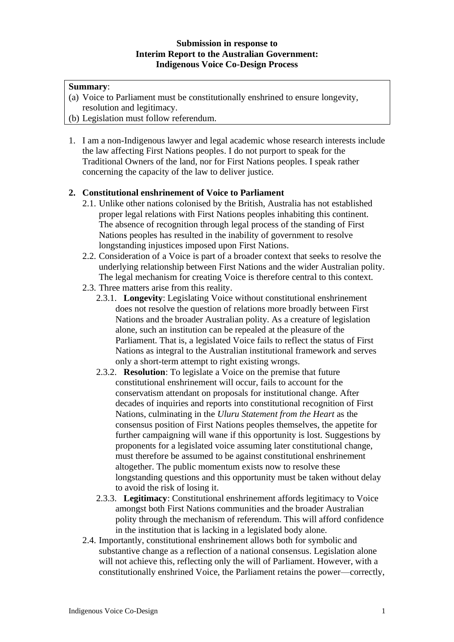### **Submission in response to Interim Report to the Australian Government: Indigenous Voice Co-Design Process**

## **Summary**:

- (a) Voice to Parliament must be constitutionally enshrined to ensure longevity, resolution and legitimacy.
- (b) Legislation must follow referendum.
- 1. I am a non-Indigenous lawyer and legal academic whose research interests include the law affecting First Nations peoples. I do not purport to speak for the Traditional Owners of the land, nor for First Nations peoples. I speak rather concerning the capacity of the law to deliver justice.

# **2. Constitutional enshrinement of Voice to Parliament**

- 2.1. Unlike other nations colonised by the British, Australia has not established proper legal relations with First Nations peoples inhabiting this continent. The absence of recognition through legal process of the standing of First Nations peoples has resulted in the inability of government to resolve longstanding injustices imposed upon First Nations.
- 2.2. Consideration of a Voice is part of a broader context that seeks to resolve the underlying relationship between First Nations and the wider Australian polity. The legal mechanism for creating Voice is therefore central to this context.
- 2.3. Three matters arise from this reality.
	- 2.3.1. **Longevity**: Legislating Voice without constitutional enshrinement does not resolve the question of relations more broadly between First Nations and the broader Australian polity. As a creature of legislation alone, such an institution can be repealed at the pleasure of the Parliament. That is, a legislated Voice fails to reflect the status of First Nations as integral to the Australian institutional framework and serves only a short-term attempt to right existing wrongs.
	- 2.3.2. **Resolution**: To legislate a Voice on the premise that future constitutional enshrinement will occur, fails to account for the conservatism attendant on proposals for institutional change. After decades of inquiries and reports into constitutional recognition of First Nations, culminating in the *Uluru Statement from the Heart* as the consensus position of First Nations peoples themselves, the appetite for further campaigning will wane if this opportunity is lost. Suggestions by proponents for a legislated voice assuming later constitutional change, must therefore be assumed to be against constitutional enshrinement altogether. The public momentum exists now to resolve these longstanding questions and this opportunity must be taken without delay to avoid the risk of losing it.
	- 2.3.3. **Legitimacy**: Constitutional enshrinement affords legitimacy to Voice amongst both First Nations communities and the broader Australian polity through the mechanism of referendum. This will afford confidence in the institution that is lacking in a legislated body alone.
- 2.4. Importantly, constitutional enshrinement allows both for symbolic and substantive change as a reflection of a national consensus. Legislation alone will not achieve this, reflecting only the will of Parliament. However, with a constitutionally enshrined Voice, the Parliament retains the power—correctly,